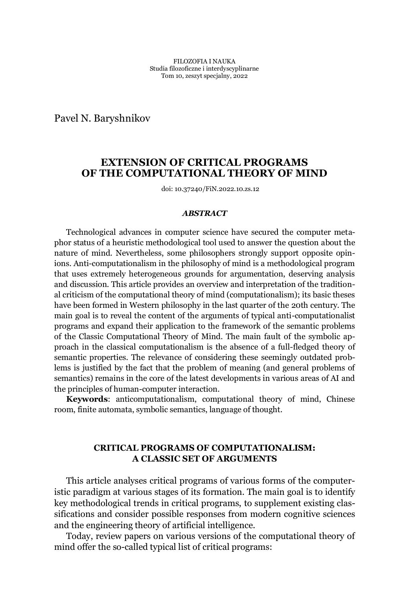Pavel N. Baryshnikov

# **EXTENSION OF CRITICAL PROGRAMS OF THE COMPUTATIONAL THEORY OF MIND**

doi: 10.37240/FiN.2022.10.zs.12

#### *ABSTRACT*

Technological advances in computer science have secured the computer metaphor status of a heuristic methodological tool used to answer the question about the nature of mind. Nevertheless, some philosophers strongly support opposite opinions. Anti-computationalism in the philosophy of mind is a methodological program that uses extremely heterogeneous grounds for argumentation, deserving analysis and discussion. This article provides an overview and interpretation of the traditional criticism of the computational theory of mind (computationalism); its basic theses have been formed in Western philosophy in the last quarter of the 20th century. The main goal is to reveal the content of the arguments of typical anti-computationalist programs and expand their application to the framework of the semantic problems of the Classic Computational Theory of Mind. The main fault of the symbolic approach in the classical computationalism is the absence of a full-fledged theory of semantic properties. The relevance of considering these seemingly outdated problems is justified by the fact that the problem of meaning (and general problems of semantics) remains in the core of the latest developments in various areas of AI and the principles of human-computer interaction.

**Keywords**: anticomputationalism, computational theory of mind, Chinese room, finite automata, symbolic semantics, language of thought.

# **CRITICAL PROGRAMS OF COMPUTATIONALISM: A CLASSIC SET OF ARGUMENTS**

This article analyses critical programs of various forms of the computeristic paradigm at various stages of its formation. The main goal is to identify key methodological trends in critical programs, to supplement existing classifications and consider possible responses from modern cognitive sciences and the engineering theory of artificial intelligence.

Today, review papers on various versions of the computational theory of mind offer the so-called typical list of critical programs: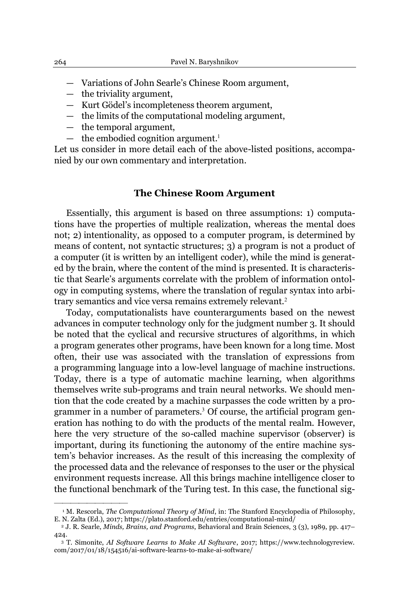- Variations of John Searle's Chinese Room argument,
- $-$  the triviality argument,
- $-$  Kurt Gödel's incompleteness theorem argument,
- $-$  the limits of the computational modeling argument,
- $-$  the temporal argument,

²²²²²²²²²

 $-$  the embodied cognition argument.<sup>1</sup>

Let us consider in more detail each of the above-listed positions, accompanied by our own commentary and interpretation.

#### **The Chinese Room Argument**

Essentially, this argument is based on three assumptions: 1) computations have the properties of multiple realization, whereas the mental does not; 2) intentionality, as opposed to a computer program, is determined by means of content, not syntactic structures; 3) a program is not a product of a computer (it is written by an intelligent coder), while the mind is generated by the brain, where the content of the mind is presented. It is characteristic that Searle's arguments correlate with the problem of information ontology in computing systems, where the translation of regular syntax into arbitrary semantics and vice versa remains extremely relevant.<sup>2</sup>

Today, computationalists have counterarguments based on the newest advances in computer technology only for the judgment number 3. It should be noted that the cyclical and recursive structures of algorithms, in which a program generates other programs, have been known for a long time. Most often, their use was associated with the translation of expressions from a programming language into a low-level language of machine instructions. Today, there is a type of automatic machine learning, when algorithms themselves write sub-programs and train neural networks. We should mention that the code created by a machine surpasses the code written by a programmer in a number of parameters.<sup>3</sup> Of course, the artificial program generation has nothing to do with the products of the mental realm. However, here the very structure of the so-called machine supervisor (observer) is important, during its functioning the autonomy of the entire machine system's behavior increases. As the result of this increasing the complexity of the processed data and the relevance of responses to the user or the physical environment requests increase. All this brings machine intelligence closer to the functional benchmark of the Turing test. In this case, the functional sig-

<sup>&</sup>lt;sup>1</sup> M. Rescorla, *The Computational Theory of Mind*, in: The Stanford Encyclopedia of Philosophy, E. N. Zalta (Ed.), 2017; https://plato.stanford.edu/entries/computational-mind/

<sup>2</sup> J. R. Searle, *Minds, Brains, and Programs*, Behavioral and Brain Sciences, 3 (3), 1989, pp. 417± 424.

<sup>3</sup> T. Simonite, *AI Software Learns to Make AI Software*, 2017; https://www.technologyreview. com/2017/01/18/154516/ai-software-learns-to-make-ai-software/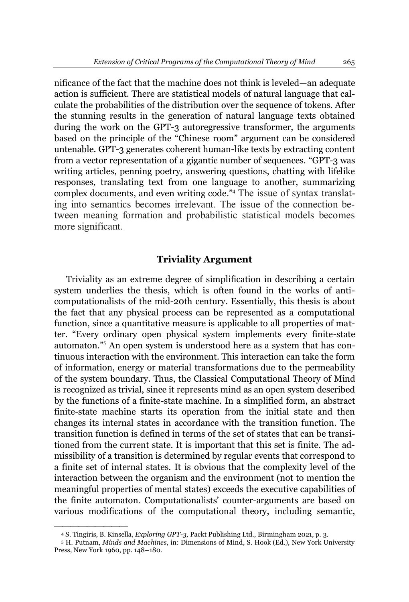nificance of the fact that the machine does not think is leveled—an adequate action is sufficient. There are statistical models of natural language that calculate the probabilities of the distribution over the sequence of tokens. After the stunning results in the generation of natural language texts obtained during the work on the GPT-3 autoregressive transformer, the arguments based on the principle of the "Chinese room" argument can be considered untenable. GPT-3 generates coherent human-like texts by extracting content from a vector representation of a gigantic number of sequences. "GPT-3 was writing articles, penning poetry, answering questions, chatting with lifelike responses, translating text from one language to another, summarizing complex documents, and even writing code."<sup>4</sup> The issue of syntax translating into semantics becomes irrelevant. The issue of the connection between meaning formation and probabilistic statistical models becomes more significant.

### **Triviality Argument**

Triviality as an extreme degree of simplification in describing a certain system underlies the thesis, which is often found in the works of anticomputationalists of the mid-20th century. Essentially, this thesis is about the fact that any physical process can be represented as a computational function, since a quantitative measure is applicable to all properties of matter. "Every ordinary open physical system implements every finite-state automaton."<sup>5</sup> An open system is understood here as a system that has continuous interaction with the environment. This interaction can take the form of information, energy or material transformations due to the permeability of the system boundary. Thus, the Classical Computational Theory of Mind is recognized as trivial, since it represents mind as an open system described by the functions of a finite-state machine. In a simplified form, an abstract finite-state machine starts its operation from the initial state and then changes its internal states in accordance with the transition function. The transition function is defined in terms of the set of states that can be transitioned from the current state. It is important that this set is finite. The admissibility of a transition is determined by regular events that correspond to a finite set of internal states. It is obvious that the complexity level of the interaction between the organism and the environment (not to mention the meaningful properties of mental states) exceeds the executive capabilities of the finite automaton. Computationalists' counter-arguments are based on various modifications of the computational theory, including semantic,

<sup>4</sup> S. Tingiris, B. Kinsella, *Exploring GPT-3*, Packt Publishing Ltd., Birmingham 2021, p. 3.

<sup>5</sup> H. Putnam, *Minds and Machines*, in: Dimensions of Mind, S. Hook (Ed.), New York University Press, New York 1960, pp. 148-180.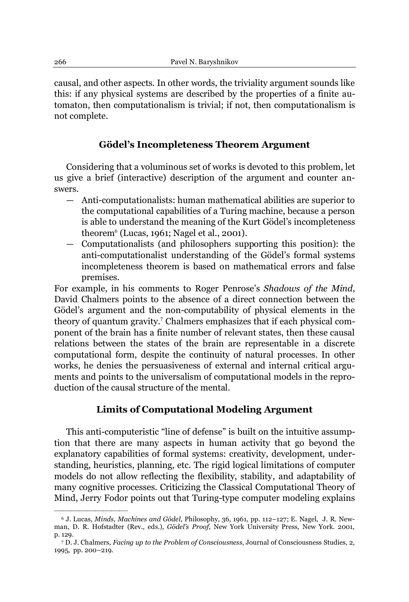causal, and other aspects. In other words, the triviality argument sounds like this: if any physical systems are described by the properties of a finite automaton, then computationalism is trivial; if not, then computationalism is not complete.

# $F$ Gödel's Incompleteness Theorem Argument

Considering that a voluminous set of works is devoted to this problem, let us give a brief (interactive) description of the argument and counter answers.

- Anti-computationalists: human mathematical abilities are superior to the computational capabilities of a Turing machine, because a person is able to understand the meaning of the Kurt Gödel's incompleteness theorem<sup>6</sup> (Lucas, 1961; Nagel et al., 2001).
- ² Computationalists (and philosophers supporting this position): the anti-computationalist understanding of the Gödel's formal systems incompleteness theorem is based on mathematical errors and false premises.

For example, in his comments to Roger Penrose's *Shadows of the Mind*, David Chalmers points to the absence of a direct connection between the Gödel's argument and the non-computability of physical elements in the theory of quantum gravity. <sup>7</sup> Chalmers emphasizes that if each physical component of the brain has a finite number of relevant states, then these causal relations between the states of the brain are representable in a discrete computational form, despite the continuity of natural processes. In other works, he denies the persuasiveness of external and internal critical arguments and points to the universalism of computational models in the reproduction of the causal structure of the mental.

# **Limits of Computational Modeling Argument**

This anti-computeristic "line of defense" is built on the intuitive assumption that there are many aspects in human activity that go beyond the explanatory capabilities of formal systems: creativity, development, understanding, heuristics, planning, etc. The rigid logical limitations of computer models do not allow reflecting the flexibility, stability, and adaptability of many cognitive processes. Criticizing the Classical Computational Theory of Mind, Jerry Fodor points out that Turing-type computer modeling explains

<sup>&</sup>lt;sup>6</sup> J. Lucas, *Minds, Machines and Gödel*, Philosophy, 36, 1961, pp. 112-127; E. Nagel, J. R. Newman, D. R. Hofstadter (Rev., eds.), *Gödel's Proof*, New York University Press, New York. 2001, p. 129.

<sup>7</sup> D. J. Chalmers, *Facing up to the Problem of Consciousness*, Journal of Consciousness Studies, 2, 1995, pp. 200-219.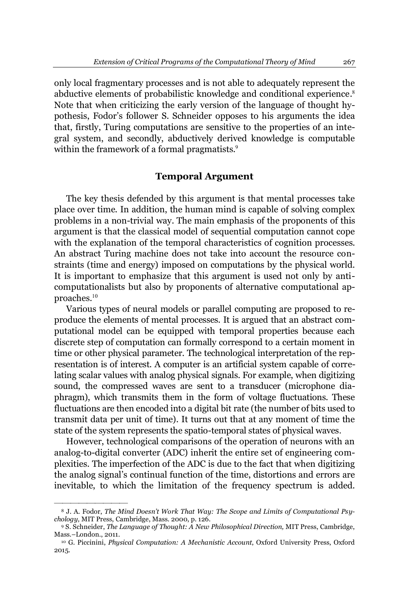only local fragmentary processes and is not able to adequately represent the abductive elements of probabilistic knowledge and conditional experience. 8 Note that when criticizing the early version of the language of thought hypothesis, Fodor's follower S. Schneider opposes to his arguments the idea that, firstly, Turing computations are sensitive to the properties of an integral system, and secondly, abductively derived knowledge is computable within the framework of a formal pragmatists. 9

### **Temporal Argument**

The key thesis defended by this argument is that mental processes take place over time. In addition, the human mind is capable of solving complex problems in a non-trivial way. The main emphasis of the proponents of this argument is that the classical model of sequential computation cannot cope with the explanation of the temporal characteristics of cognition processes. An abstract Turing machine does not take into account the resource constraints (time and energy) imposed on computations by the physical world. It is important to emphasize that this argument is used not only by anticomputationalists but also by proponents of alternative computational approaches.<sup>10</sup>

Various types of neural models or parallel computing are proposed to reproduce the elements of mental processes. It is argued that an abstract computational model can be equipped with temporal properties because each discrete step of computation can formally correspond to a certain moment in time or other physical parameter. The technological interpretation of the representation is of interest. A computer is an artificial system capable of correlating scalar values with analog physical signals. For example, when digitizing sound, the compressed waves are sent to a transducer (microphone diaphragm), which transmits them in the form of voltage fluctuations. These fluctuations are then encoded into a digital bit rate (the number of bits used to transmit data per unit of time). It turns out that at any moment of time the state of the system represents the spatio-temporal states of physical waves.

However, technological comparisons of the operation of neurons with an analog-to-digital converter (ADC) inherit the entire set of engineering complexities. The imperfection of the ADC is due to the fact that when digitizing the analog signal's continual function of the time, distortions and errors are inevitable, to which the limitation of the frequency spectrum is added.

<sup>&</sup>lt;sup>8</sup> J. A. Fodor, *The Mind Doesn't Work That Way: The Scope and Limits of Computational Psychology,* MIT Press, Cambridge, Mass. 2000, p. 126.

<sup>9</sup> S. Schneider, *The Language of Thought: A New Philosophical Direction,* MIT Press, Cambridge, Mass.-London., 2011.<br><sup>10</sup> G. Piccinini, *Physical Computation: A Mechanistic Account*, Oxford University Press, Oxford

<sup>2015.</sup>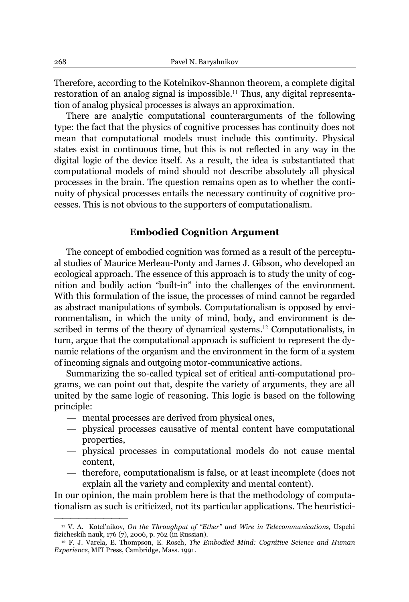Therefore, according to the Kotelnikov-Shannon theorem, a complete digital restoration of an analog signal is impossible. <sup>11</sup> Thus, any digital representation of analog physical processes is always an approximation.

There are analytic computational counterarguments of the following type: the fact that the physics of cognitive processes has continuity does not mean that computational models must include this continuity. Physical states exist in continuous time, but this is not reflected in any way in the digital logic of the device itself. As a result, the idea is substantiated that computational models of mind should not describe absolutely all physical processes in the brain. The question remains open as to whether the continuity of physical processes entails the necessary continuity of cognitive processes. This is not obvious to the supporters of computationalism.

### **Embodied Cognition Argument**

The concept of embodied cognition was formed as a result of the perceptual studies of Maurice Merleau-Ponty and James J. Gibson, who developed an ecological approach. The essence of this approach is to study the unity of cognition and bodily action "built-in" into the challenges of the environment. With this formulation of the issue, the processes of mind cannot be regarded as abstract manipulations of symbols. Computationalism is opposed by environmentalism, in which the unity of mind, body, and environment is described in terms of the theory of dynamical systems. <sup>12</sup> Computationalists, in turn, argue that the computational approach is sufficient to represent the dynamic relations of the organism and the environment in the form of a system of incoming signals and outgoing motor-communicative actions.

Summarizing the so-called typical set of critical anti-computational programs, we can point out that, despite the variety of arguments, they are all united by the same logic of reasoning. This logic is based on the following principle:

 $-$  mental processes are derived from physical ones,

²²²²²²²²²

- $-$  physical processes causative of mental content have computational properties,
- $-$  physical processes in computational models do not cause mental content,
- $\overline{a}$  therefore, computationalism is false, or at least incomplete (does not explain all the variety and complexity and mental content).

In our opinion, the main problem here is that the methodology of computationalism as such is criticized, not its particular applications. The heuristici-

<sup>&</sup>lt;sup>11</sup> V. A. Kotel'nikov, *On the Throughput of "Ether" and Wire in Telecommunications, Uspehi* fizicheskih nauk, 176 (7), 2006, p. 762 (in Russian).

<sup>12</sup> F. J. Varela, E. Thompson, E. Rosch, *The Embodied Mind: Cognitive Science and Human Experience*, MIT Press, Cambridge, Mass. 1991.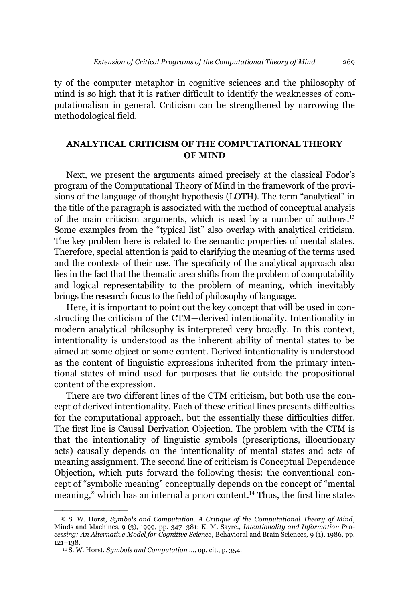ty of the computer metaphor in cognitive sciences and the philosophy of mind is so high that it is rather difficult to identify the weaknesses of computationalism in general. Criticism can be strengthened by narrowing the methodological field.

# **ANALYTICAL CRITICISM OF THE COMPUTATIONAL THEORY OF MIND**

Next, we present the arguments aimed precisely at the classical Fodor's program of the Computational Theory of Mind in the framework of the provisions of the language of thought hypothesis (LOTH). The term "analytical" in the title of the paragraph is associated with the method of conceptual analysis of the main criticism arguments, which is used by a number of authors.<sup>13</sup> Some examples from the "typical list" also overlap with analytical criticism. The key problem here is related to the semantic properties of mental states. Therefore, special attention is paid to clarifying the meaning of the terms used and the contexts of their use. The specificity of the analytical approach also lies in the fact that the thematic area shifts from the problem of computability and logical representability to the problem of meaning, which inevitably brings the research focus to the field of philosophy of language.

Here, it is important to point out the key concept that will be used in constructing the criticism of the CTM—derived intentionality. Intentionality in modern analytical philosophy is interpreted very broadly. In this context, intentionality is understood as the inherent ability of mental states to be aimed at some object or some content. Derived intentionality is understood as the content of linguistic expressions inherited from the primary intentional states of mind used for purposes that lie outside the propositional content of the expression.

There are two different lines of the CTM criticism, but both use the concept of derived intentionality. Each of these critical lines presents difficulties for the computational approach, but the essentially these difficulties differ. The first line is Causal Derivation Objection. The problem with the CTM is that the intentionality of linguistic symbols (prescriptions, illocutionary acts) causally depends on the intentionality of mental states and acts of meaning assignment. The second line of criticism is Conceptual Dependence Objection, which puts forward the following thesis: the conventional concept of "symbolic meaning" conceptually depends on the concept of "mental meaning," which has an internal a priori content.<sup>14</sup> Thus, the first line states

<sup>13</sup> S. W. Horst, *Symbols and Computation. A Critique of the Computational Theory of Mind*, Minds and Machines, 9 (3), 1999, pp. 347-381; K. M. Sayre., *Intentionality and Information Processing: An Alternative Model for Cognitive Science*, Behavioral and Brain Sciences, 9 (1), 1986, pp.  $121 - 138.$ 

<sup>14</sup> S. W. Horst, *Symbols and Computation «*, op. cit., p. 354.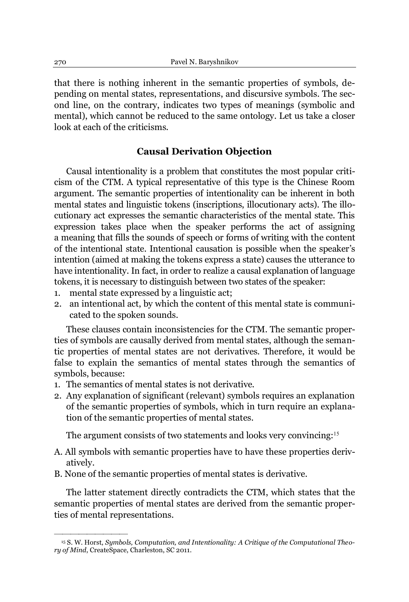that there is nothing inherent in the semantic properties of symbols, depending on mental states, representations, and discursive symbols. The second line, on the contrary, indicates two types of meanings (symbolic and mental), which cannot be reduced to the same ontology. Let us take a closer look at each of the criticisms.

# **Causal Derivation Objection**

Causal intentionality is a problem that constitutes the most popular criticism of the CTM. A typical representative of this type is the Chinese Room argument. The semantic properties of intentionality can be inherent in both mental states and linguistic tokens (inscriptions, illocutionary acts). The illocutionary act expresses the semantic characteristics of the mental state. This expression takes place when the speaker performs the act of assigning a meaning that fills the sounds of speech or forms of writing with the content of the intentional state. Intentional causation is possible when the speaker's intention (aimed at making the tokens express a state) causes the utterance to have intentionality. In fact, in order to realize a causal explanation of language tokens, it is necessary to distinguish between two states of the speaker:

- 1. mental state expressed by a linguistic act;
- 2. an intentional act, by which the content of this mental state is communicated to the spoken sounds.

These clauses contain inconsistencies for the CTM. The semantic properties of symbols are causally derived from mental states, although the semantic properties of mental states are not derivatives. Therefore, it would be false to explain the semantics of mental states through the semantics of symbols, because:

1. The semantics of mental states is not derivative.

²²²²²²²²²

2. Any explanation of significant (relevant) symbols requires an explanation of the semantic properties of symbols, which in turn require an explanation of the semantic properties of mental states.

The argument consists of two statements and looks very convincing:<sup>15</sup>

- A. All symbols with semantic properties have to have these properties derivatively.
- B. None of the semantic properties of mental states is derivative.

The latter statement directly contradicts the CTM, which states that the semantic properties of mental states are derived from the semantic properties of mental representations.

<sup>15</sup> S. W. Horst, *Symbols, Computation, and Intentionality: A Critique of the Computational Theory of Mind*, CreateSpace, Charleston, SC 2011.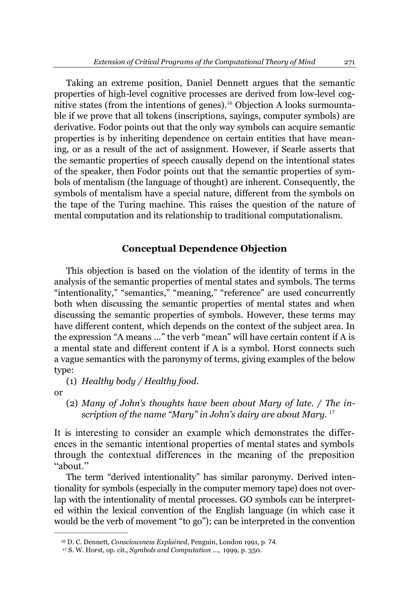Taking an extreme position, Daniel Dennett argues that the semantic properties of high-level cognitive processes are derived from low-level cognitive states (from the intentions of genes).<sup>16</sup> Objection A looks surmountable if we prove that all tokens (inscriptions, sayings, computer symbols) are derivative. Fodor points out that the only way symbols can acquire semantic properties is by inheriting dependence on certain entities that have meaning, or as a result of the act of assignment. However, if Searle asserts that the semantic properties of speech causally depend on the intentional states of the speaker, then Fodor points out that the semantic properties of symbols of mentalism (the language of thought) are inherent. Consequently, the symbols of mentalism have a special nature, different from the symbols on the tape of the Turing machine. This raises the question of the nature of mental computation and its relationship to traditional computationalism.

#### **Conceptual Dependence Objection**

This objection is based on the violation of the identity of terms in the analysis of the semantic properties of mental states and symbols. The terms "intentionality," "semantics," "meaning," "reference" are used concurrently both when discussing the semantic properties of mental states and when discussing the semantic properties of symbols. However, these terms may have different content, which depends on the context of the subject area. In the expression "A means ..." the verb "mean" will have certain content if A is a mental state and different content if A is a symbol. Horst connects such a vague semantics with the paronymy of terms, giving examples of the below type:

(1) *Healthy body / Healthy food.*

or

²²²²²²²²²

(2) Many of John's thoughts have been about Mary of late. / The in*scription of the name "Mary" in John's dairy are about Mary.* <sup>17</sup>

It is interesting to consider an example which demonstrates the differences in the semantic intentional properties of mental states and symbols through the contextual differences in the meaning of the preposition "about."

The term "derived intentionality" has similar paronymy. Derived intentionality for symbols (especially in the computer memory tape) does not overlap with the intentionality of mental processes. GO symbols can be interpreted within the lexical convention of the English language (in which case it would be the verb of movement "to go"); can be interpreted in the convention

<sup>16</sup> D. C. Dennett, *Consciousness Explained*, Penguin, London 1991, p. 74.

<sup>17</sup> S. W. Horst, op. cit., *Symbols and Computation ..*., 1999, p. 350.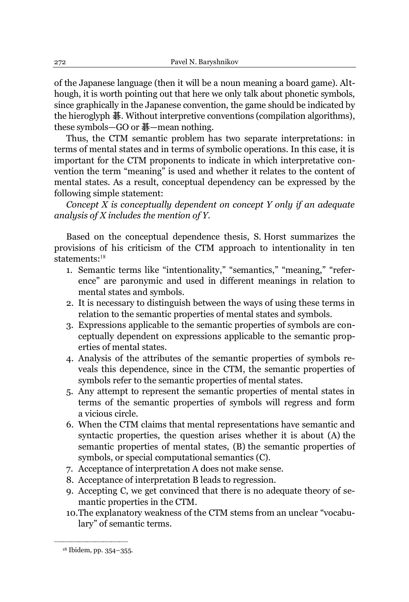of the Japanese language (then it will be a noun meaning a board game). Although, it is worth pointing out that here we only talk about phonetic symbols, since graphically in the Japanese convention, the game should be indicated by the hieroglyph 碁. Without interpretive conventions (compilation algorithms), these symbols—GO or  $\frac{1}{6}$ —mean nothing.

Thus, the CTM semantic problem has two separate interpretations: in terms of mental states and in terms of symbolic operations. In this case, it is important for the CTM proponents to indicate in which interpretative convention the term "meaning" is used and whether it relates to the content of mental states. As a result, conceptual dependency can be expressed by the following simple statement:

*Concept X is conceptually dependent on concept Y only if an adequate analysis of X includes the mention of Y.*

Based on the conceptual dependence thesis, S. Horst summarizes the provisions of his criticism of the CTM approach to intentionality in ten statements:<sup>18</sup>

- 1. Semantic terms like "intentionality," "semantics," "meaning," "reference´ are paronymic and used in different meanings in relation to mental states and symbols.
- 2. It is necessary to distinguish between the ways of using these terms in relation to the semantic properties of mental states and symbols.
- 3. Expressions applicable to the semantic properties of symbols are conceptually dependent on expressions applicable to the semantic properties of mental states.
- 4. Analysis of the attributes of the semantic properties of symbols reveals this dependence, since in the CTM, the semantic properties of symbols refer to the semantic properties of mental states.
- 5. Any attempt to represent the semantic properties of mental states in terms of the semantic properties of symbols will regress and form a vicious circle.
- 6. When the CTM claims that mental representations have semantic and syntactic properties, the question arises whether it is about (A) the semantic properties of mental states, (B) the semantic properties of symbols, or special computational semantics (C).
- 7. Acceptance of interpretation A does not make sense.
- 8. Acceptance of interpretation B leads to regression.
- 9. Accepting C, we get convinced that there is no adequate theory of semantic properties in the CTM.
- 10. The explanatory weakness of the CTM stems from an unclear "vocabulary" of semantic terms.

<sup>18</sup> Ibidem, pp. 354-355.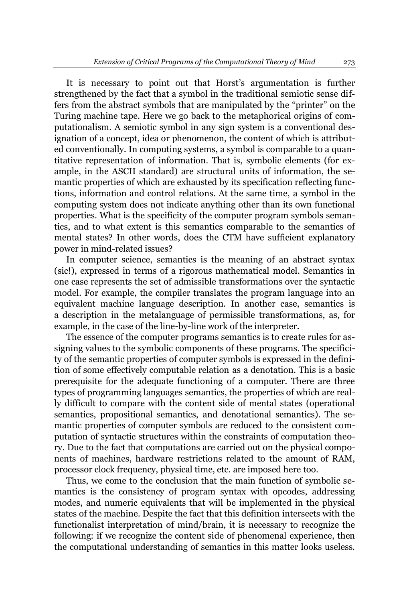It is necessary to point out that Horst's argumentation is further strengthened by the fact that a symbol in the traditional semiotic sense differs from the abstract symbols that are manipulated by the "printer" on the Turing machine tape. Here we go back to the metaphorical origins of computationalism. A semiotic symbol in any sign system is a conventional designation of a concept, idea or phenomenon, the content of which is attributed conventionally. In computing systems, a symbol is comparable to a quantitative representation of information. That is, symbolic elements (for example, in the ASCII standard) are structural units of information, the semantic properties of which are exhausted by its specification reflecting functions, information and control relations. At the same time, a symbol in the computing system does not indicate anything other than its own functional properties. What is the specificity of the computer program symbols semantics, and to what extent is this semantics comparable to the semantics of mental states? In other words, does the CTM have sufficient explanatory power in mind-related issues?

In computer science, semantics is the meaning of an abstract syntax (sic!), expressed in terms of a rigorous mathematical model. Semantics in one case represents the set of admissible transformations over the syntactic model. For example, the compiler translates the program language into an equivalent machine language description. In another case, semantics is a description in the metalanguage of permissible transformations, as, for example, in the case of the line-by-line work of the interpreter.

The essence of the computer programs semantics is to create rules for assigning values to the symbolic components of these programs. The specificity of the semantic properties of computer symbols is expressed in the definition of some effectively computable relation as a denotation. This is a basic prerequisite for the adequate functioning of a computer. There are three types of programming languages semantics, the properties of which are really difficult to compare with the content side of mental states (operational semantics, propositional semantics, and denotational semantics). The semantic properties of computer symbols are reduced to the consistent computation of syntactic structures within the constraints of computation theory. Due to the fact that computations are carried out on the physical components of machines, hardware restrictions related to the amount of RAM, processor clock frequency, physical time, etc. are imposed here too.

Thus, we come to the conclusion that the main function of symbolic semantics is the consistency of program syntax with opcodes, addressing modes, and numeric equivalents that will be implemented in the physical states of the machine. Despite the fact that this definition intersects with the functionalist interpretation of mind/brain, it is necessary to recognize the following: if we recognize the content side of phenomenal experience, then the computational understanding of semantics in this matter looks useless.